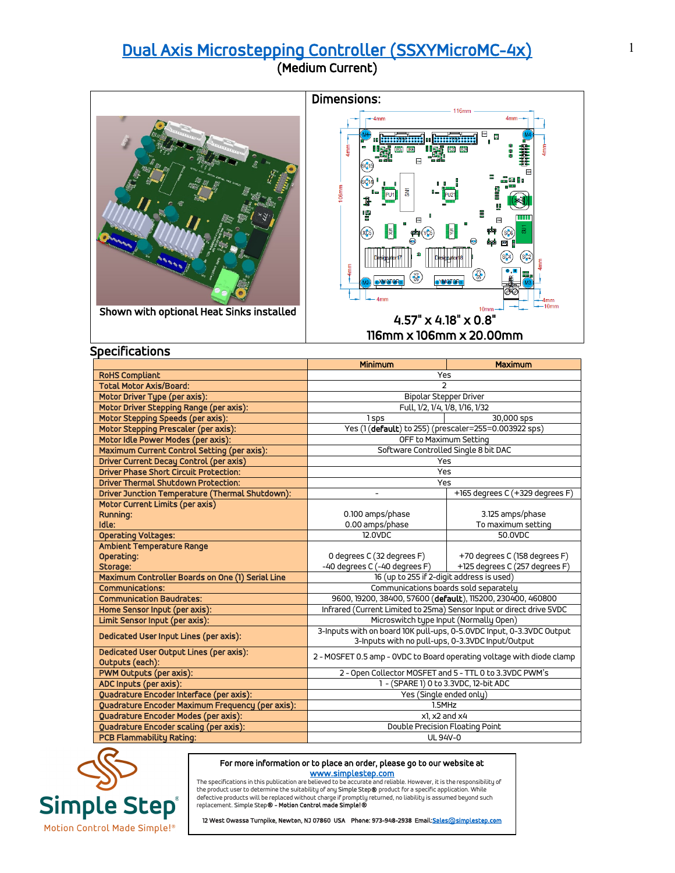## [Dual Axis Microstepping Controller \(SSXYMicroMC-4x\)](https://simplestep.com/product/ssxymicromc/) (Medium Current)



| <b>Driver Phase Short Circuit Protection:</b>              | Yes                                                                   |                                 |
|------------------------------------------------------------|-----------------------------------------------------------------------|---------------------------------|
| <b>Driver Thermal Shutdown Protection:</b>                 | Yes                                                                   |                                 |
| Driver Junction Temperature (Thermal Shutdown):            |                                                                       | +165 degrees C (+329 degrees F) |
| Motor Current Limits (per axis)                            |                                                                       |                                 |
| <b>Running:</b>                                            | 0.100 amps/phase                                                      | 3.125 amps/phase                |
| Idle:                                                      | 0.00 amps/phase                                                       | To maximum setting              |
| <b>Operating Voltages:</b>                                 | 12.0VDC                                                               | 50.0VDC                         |
| Ambient Temperature Range                                  |                                                                       |                                 |
| Operating:                                                 | 0 degrees C (32 degrees F)                                            | +70 degrees C (158 degrees F)   |
| Storage:                                                   | -40 degrees C (-40 degrees F)                                         | +125 degrees C (257 degrees F)  |
| Maximum Controller Boards on One (1) Serial Line           | 16 (up to 255 if 2-digit address is used)                             |                                 |
| <b>Communications:</b>                                     | Communications boards sold separately                                 |                                 |
| <b>Communication Baudrates:</b>                            | 9600, 19200, 38400, 57600 (default), 115200, 230400, 460800           |                                 |
| Home Sensor Input (per axis):                              | Infrared (Current Limited to 25ma) Sensor Input or direct drive 5VDC  |                                 |
| Limit Sensor Input (per axis):                             | Microswitch type Input (Normally Open)                                |                                 |
| Dedicated User Input Lines (per axis):                     | 3-Inputs with on board 10K pull-ups, 0-5.0VDC Input, 0-3.3VDC Output  |                                 |
|                                                            | 3-Inputs with no pull-ups, 0-3.3VDC Input/Output                      |                                 |
| Dedicated User Output Lines (per axis):<br>Outputs (each): | 2 - MOSFET 0.5 amp - OVDC to Board operating voltage with diode clamp |                                 |
| PWM Outputs (per axis):                                    | 2 - Open Collector MOSFET and 5 - TTL 0 to 3.3VDC PWM's               |                                 |
| ADC Inputs (per axis):                                     | 1 - (SPARE 1) 0 to 3.3VDC, 12-bit ADC                                 |                                 |
| Quadrature Encoder Interface (per axis):                   | Yes (Single ended only)                                               |                                 |
| Quadrature Encoder Maximum Frequency (per axis):           | 1.5MHz                                                                |                                 |
| Quadrature Encoder Modes (per axis):                       | x1, x2 and x4                                                         |                                 |
| <b>Quadrature Encoder scaling (per axis):</b>              | Double Precision Floating Point                                       |                                 |
| <b>PCB Flammability Rating:</b>                            | UL 94V-0                                                              |                                 |



## For more information or to place an order, please go to our website at

www.simplestep.com<br>The specifications in this publication are believed to be accurate and reliable. However, it is the responsibility of the product user to determine the suitability of any Simple Step® product for a specific application. While<br>defective products will be replaced without charge if promptly returned, no liability is assumed beyond such replacement. Simple Step® - Motion Control made Simple!®

12 West Owassa Turnpike, Newton, NJ 07860 USA Phone: 973-948-2938 Email: Sales@simplestep.com